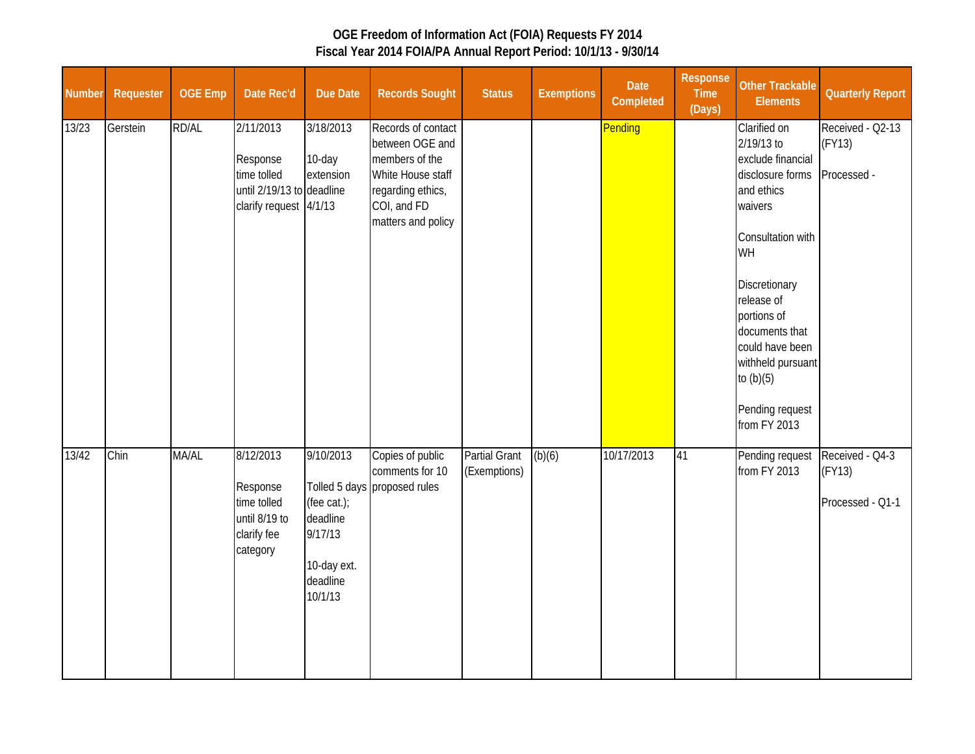| <b>Number</b> | Requester | <b>OGE Emp</b> | Date Rec'd                                                                                  | Due Date                                                                              | <b>Records Sought</b>                                                                                                                  | <b>Status</b>                        | <b>Exemptions</b> | Date<br>Completed | Response<br><b>Time</b><br>(Days) | <b>Other Trackable</b><br><b>Elements</b>                                                                                                                                                                                                                                         | <b>Quarterly Report</b>                       |
|---------------|-----------|----------------|---------------------------------------------------------------------------------------------|---------------------------------------------------------------------------------------|----------------------------------------------------------------------------------------------------------------------------------------|--------------------------------------|-------------------|-------------------|-----------------------------------|-----------------------------------------------------------------------------------------------------------------------------------------------------------------------------------------------------------------------------------------------------------------------------------|-----------------------------------------------|
| 13/23         | Gerstein  | RD/AL          | 2/11/2013<br>Response<br>time tolled<br>until 2/19/13 to deadline<br>clarify request 4/1/13 | 3/18/2013<br>10-day<br>extension                                                      | Records of contact<br>between OGE and<br>members of the<br>White House staff<br>regarding ethics,<br>COI, and FD<br>matters and policy |                                      |                   | Pending           |                                   | Clarified on<br>2/19/13 to<br>exclude financial<br>disclosure forms<br>and ethics<br>waivers<br>Consultation with<br>WH<br>Discretionary<br>release of<br>portions of<br>documents that<br>could have been<br>withheld pursuant<br>to $(b)(5)$<br>Pending request<br>from FY 2013 | Received - Q2-13<br>(FY13)<br>Processed -     |
| 13/42         | Chin      | MA/AL          | 8/12/2013<br>Response<br>time tolled<br>until 8/19 to<br>clarify fee<br>category            | 9/10/2013<br>(fee cat.);<br>deadline<br>9/17/13<br>10-day ext.<br>deadline<br>10/1/13 | Copies of public<br>comments for 10<br>Tolled 5 days proposed rules                                                                    | <b>Partial Grant</b><br>(Exemptions) | (b)(6)            | 10/17/2013        | 41                                | Pending request<br>from FY 2013                                                                                                                                                                                                                                                   | Received - Q4-3<br>(FY13)<br>Processed - Q1-1 |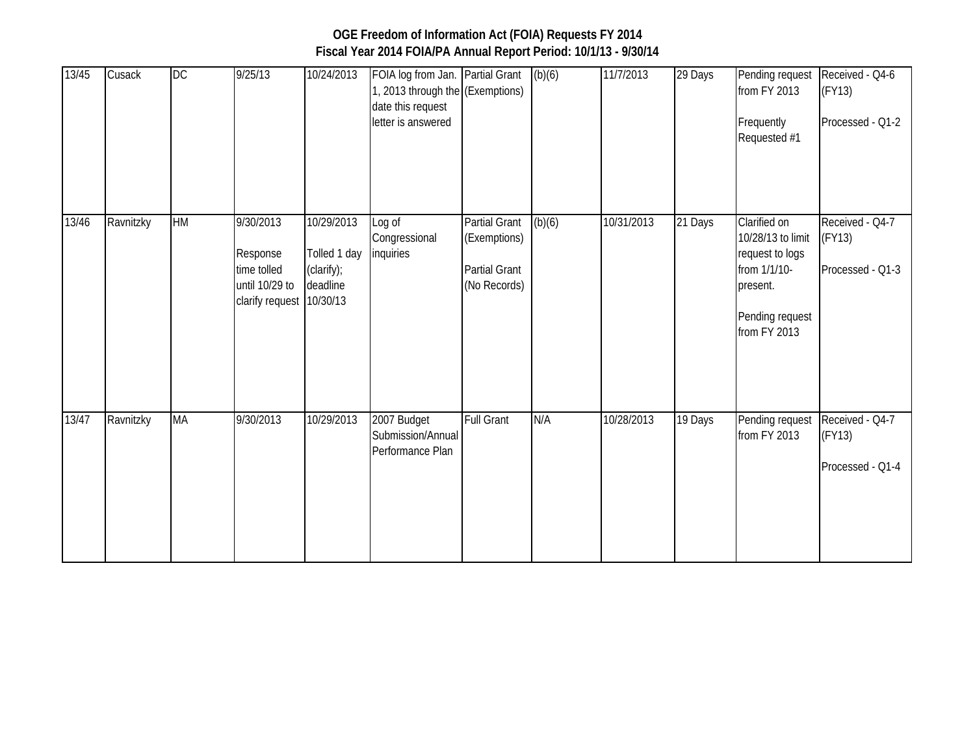| 13/45 | Cusack    | DC        | 9/25/13                                                                            | 10/24/2013                                           | FOIA log from Jan. Partial Grant<br>1, 2013 through the (Exemptions)<br>date this request<br>letter is answered |                                                                       | (b)(6) | 11/7/2013  | 29 Days | Pending request<br>from FY 2013<br>Frequently<br>Requested #1                                                       | Received - Q4-6<br>(FY13)<br>Processed - Q1-2 |
|-------|-----------|-----------|------------------------------------------------------------------------------------|------------------------------------------------------|-----------------------------------------------------------------------------------------------------------------|-----------------------------------------------------------------------|--------|------------|---------|---------------------------------------------------------------------------------------------------------------------|-----------------------------------------------|
| 13/46 | Ravnitzky | HM        | 9/30/2013<br>Response<br>time tolled<br>until 10/29 to<br>clarify request 10/30/13 | 10/29/2013<br>Tolled 1 day<br>(clarify);<br>deadline | Log of<br>Congressional<br>inquiries                                                                            | Partial Grant<br>(Exemptions)<br><b>Partial Grant</b><br>(No Records) | (b)(6) | 10/31/2013 | 21 Days | Clarified on<br>10/28/13 to limit<br>request to logs<br>from 1/1/10-<br>present.<br>Pending request<br>from FY 2013 | Received - Q4-7<br>(FY13)<br>Processed - Q1-3 |
| 13/47 | Ravnitzky | <b>MA</b> | 9/30/2013                                                                          | 10/29/2013                                           | 2007 Budget<br>Submission/Annual<br>Performance Plan                                                            | <b>Full Grant</b>                                                     | N/A    | 10/28/2013 | 19 Days | Pending request<br>from FY 2013                                                                                     | Received - Q4-7<br>(FY13)<br>Processed - Q1-4 |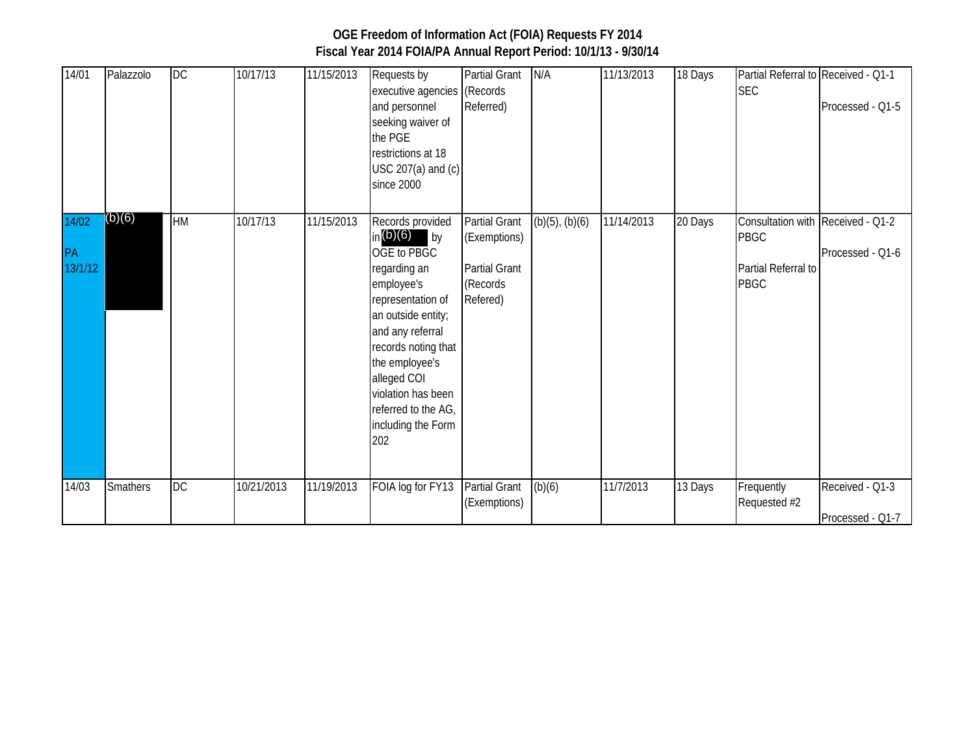| 14/01                  | Palazzolo       | DC        | 10/17/13   | 11/15/2013 | Requests by<br>executive agencies (Records<br>and personnel<br>seeking waiver of<br>the PGE<br>restrictions at 18<br>$USC 207(a)$ and $(c)$<br>since 2000                                                                                                                        | <b>Partial Grant</b><br>Referred)                                                    | N/A                 | 11/13/2013 | 18 Days | Partial Referral to Received - Q1-1<br><b>SEC</b>                                      | Processed - Q1-5                    |
|------------------------|-----------------|-----------|------------|------------|----------------------------------------------------------------------------------------------------------------------------------------------------------------------------------------------------------------------------------------------------------------------------------|--------------------------------------------------------------------------------------|---------------------|------------|---------|----------------------------------------------------------------------------------------|-------------------------------------|
| 14/02<br>PA<br>13/1/12 | (b)(6)          | <b>HM</b> | 10/17/13   | 11/15/2013 | Records provided<br>in $(b)(6)$ by<br>OGE to PBGC<br>regarding an<br>employee's<br>representation of<br>an outside entity;<br>and any referral<br>records noting that<br>the employee's<br>alleged COI<br>violation has been<br>referred to the AG,<br>including the Form<br>202 | <b>Partial Grant</b><br>(Exemptions)<br><b>Partial Grant</b><br>(Records<br>Refered) | $(b)(5)$ , $(b)(6)$ | 11/14/2013 | 20 Days | Consultation with Received - Q1-2<br><b>PBGC</b><br>Partial Referral to<br><b>PBGC</b> | Processed - Q1-6                    |
| 14/03                  | <b>Smathers</b> | <b>DC</b> | 10/21/2013 | 11/19/2013 | FOIA log for FY13                                                                                                                                                                                                                                                                | Partial Grant<br>(Exemptions)                                                        | (b)(6)              | 11/7/2013  | 13 Days | Frequently<br>Requested #2                                                             | Received - Q1-3<br>Processed - Q1-7 |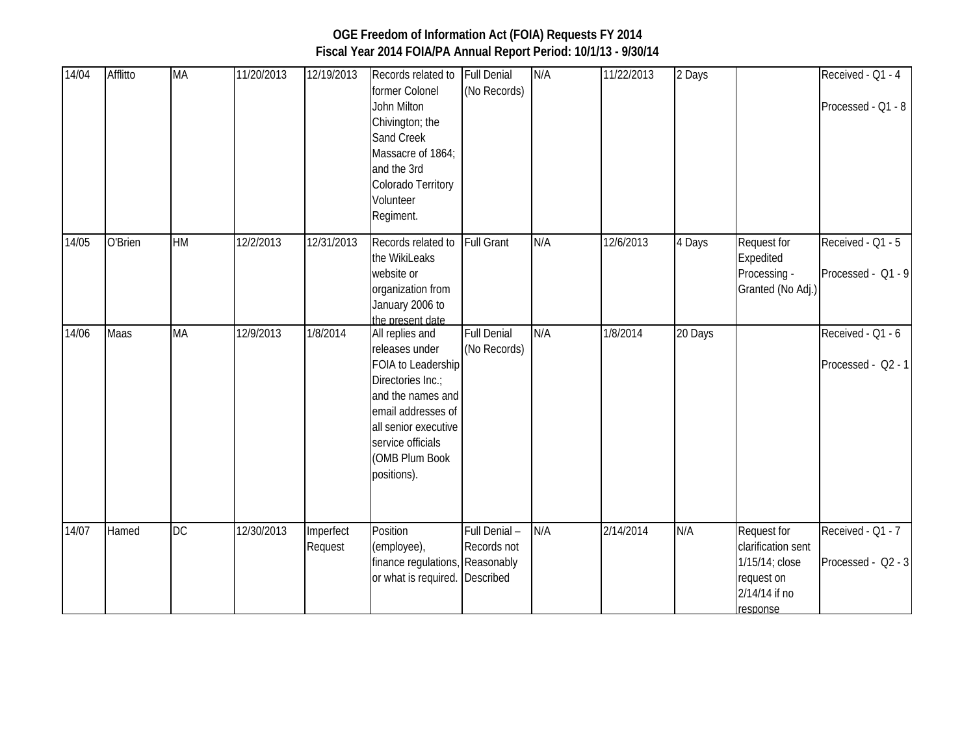#### 14/04 Afflitto MA 11/20/2013 12/19/2013 Records related to former Colonel John Milton Chivington; the Sand Creek Massacre of 1864; and the 3rd Colorado Territory Volunteer Regiment. Full Denial (No Records) N/A 11/22/2013 2 Days Received - Q1 - 4 Processed - Q1 - 8 14/05 O'Brien HM 12/2/2013 12/31/2013 Records related to the WikiLeaks website or organization from January 2006 to the present date Full Grant N/A 12/6/2013 4 Days Request for Expedited Processing - Granted (No Adj.) Received - Q1 - 5 Processed - Q1 - 9 14/06 Maas MA 12/9/2013 1/8/2014 All replies and releases under FOIA to Leadership Directories Inc.; and the names and email addresses of all senior executive service officials (OMB Plum Book positions). Full Denial (No Records) N/A 1/8/2014 20 Days Received - Q1 - 6 Processed - Q2 - 1 14/07 Hamed DC 12/30/2013 Imperfect Request **Position** (employee), finance regulations, Reasonably or what is required. Full Denial – Records not Described N/A 2/14/2014 N/A Request for clarification sent 1/15/14; close request on 2/14/14 if no response Received - Q1 - 7 Processed - Q2 - 3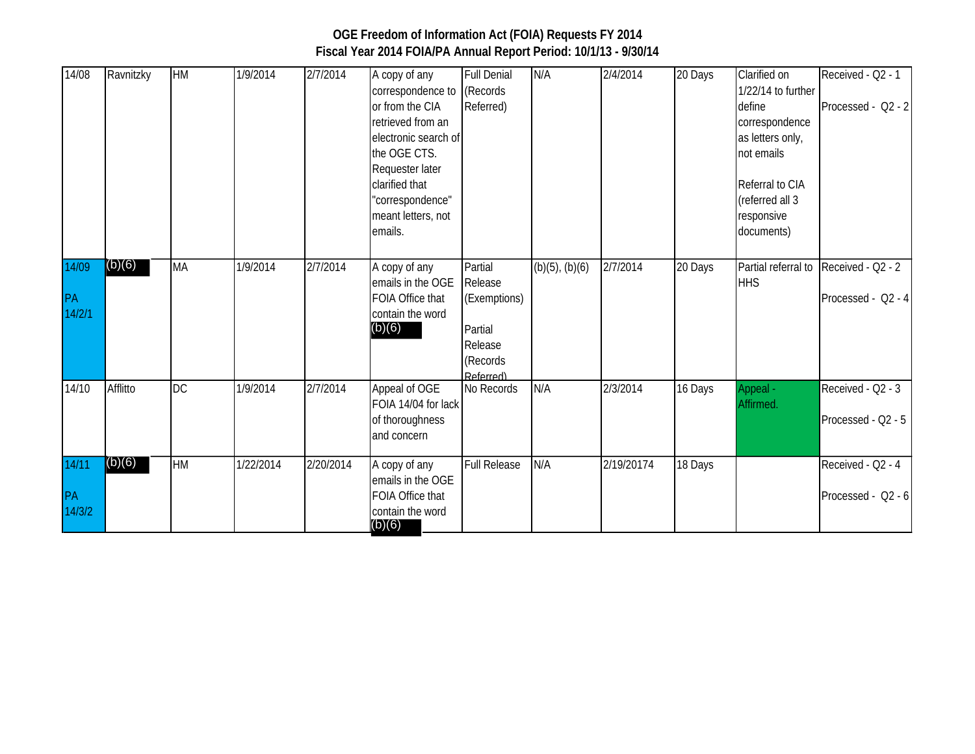| 14/08        | Ravnitzky | HM        | 1/9/2014  | 2/7/2014  | A copy of any                        | <b>Full Denial</b>    | N/A                 | 2/4/2014   | 20 Days | Clarified on        | Received - Q2 - 1  |
|--------------|-----------|-----------|-----------|-----------|--------------------------------------|-----------------------|---------------------|------------|---------|---------------------|--------------------|
|              |           |           |           |           | correspondence to                    | (Records              |                     |            |         | 1/22/14 to further  |                    |
|              |           |           |           |           | or from the CIA                      | Referred)             |                     |            |         | define              | Processed - Q2 - 2 |
|              |           |           |           |           | retrieved from an                    |                       |                     |            |         | correspondence      |                    |
|              |           |           |           |           | electronic search of                 |                       |                     |            |         | as letters only,    |                    |
|              |           |           |           |           | the OGE CTS.                         |                       |                     |            |         | not emails          |                    |
|              |           |           |           |           | Requester later                      |                       |                     |            |         |                     |                    |
|              |           |           |           |           | clarified that                       |                       |                     |            |         | Referral to CIA     |                    |
|              |           |           |           |           | "correspondence"                     |                       |                     |            |         | (referred all 3     |                    |
|              |           |           |           |           | meant letters, not                   |                       |                     |            |         | responsive          |                    |
|              |           |           |           |           | emails.                              |                       |                     |            |         | documents)          |                    |
|              |           |           |           |           |                                      |                       |                     |            |         |                     |                    |
| 14/09        | (b)(6)    | <b>MA</b> | 1/9/2014  | 2/7/2014  | A copy of any                        | Partial               | $(b)(5)$ , $(b)(6)$ | 2/7/2014   | 20 Days | Partial referral to | Received - Q2 - 2  |
|              |           |           |           |           | emails in the OGE                    | Release               |                     |            |         | <b>HHS</b>          |                    |
| PA<br>14/2/1 |           |           |           |           | FOIA Office that<br>contain the word | (Exemptions)          |                     |            |         |                     | Processed - Q2 - 4 |
|              |           |           |           |           | (b)(6)                               | Partial               |                     |            |         |                     |                    |
|              |           |           |           |           |                                      | Release               |                     |            |         |                     |                    |
|              |           |           |           |           |                                      |                       |                     |            |         |                     |                    |
|              |           |           |           |           |                                      | (Records<br>Referred) |                     |            |         |                     |                    |
| 14/10        | Afflitto  | <b>DC</b> | 1/9/2014  | 2/7/2014  | Appeal of OGE                        | No Records            | N/A                 | 2/3/2014   | 16 Days | Appeal -            | Received - Q2 - 3  |
|              |           |           |           |           | FOIA 14/04 for lack                  |                       |                     |            |         | Affirmed.           |                    |
|              |           |           |           |           | of thoroughness                      |                       |                     |            |         |                     | Processed - Q2 - 5 |
|              |           |           |           |           | and concern                          |                       |                     |            |         |                     |                    |
| 14/11        | (b)(6)    | <b>HM</b> | 1/22/2014 | 2/20/2014 | A copy of any                        | <b>Full Release</b>   | N/A                 | 2/19/20174 | 18 Days |                     | Received - Q2 - 4  |
|              |           |           |           |           | emails in the OGE                    |                       |                     |            |         |                     |                    |
|              |           |           |           |           | FOIA Office that                     |                       |                     |            |         |                     | Processed - Q2 - 6 |
| PA<br>14/3/2 |           |           |           |           | contain the word                     |                       |                     |            |         |                     |                    |
|              |           |           |           |           | (b)(6)                               |                       |                     |            |         |                     |                    |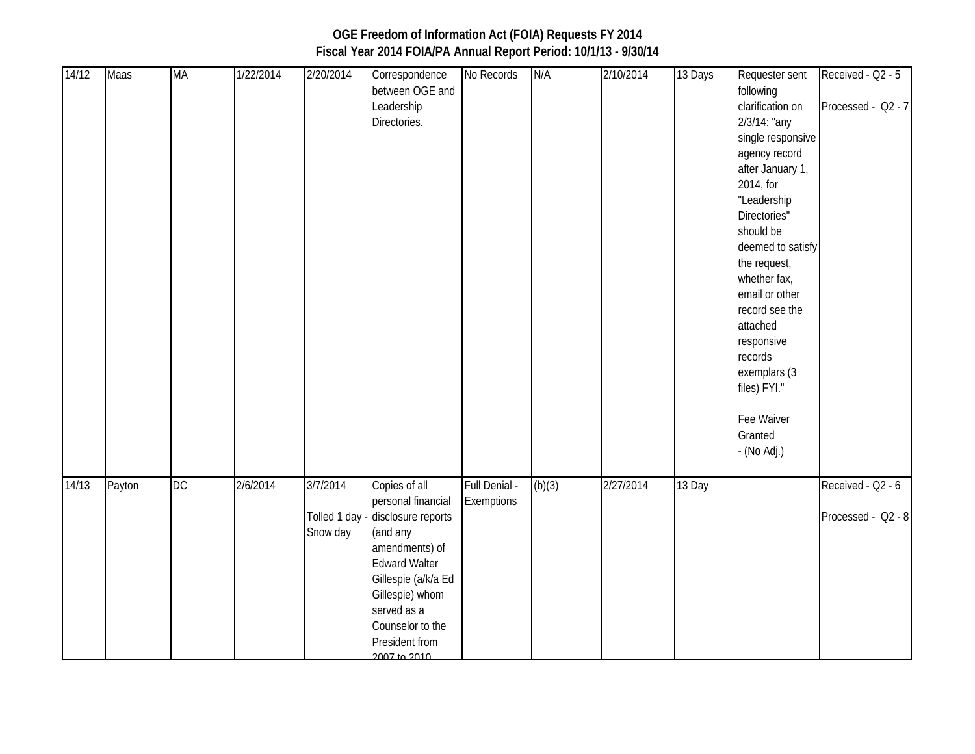#### 14/12 Maas MA 1/22/2014 2/20/2014 Correspondence between OGE and Leadership Directories. No Records N/A 2/10/2014 13 Days Requester sent following clarification on 2/3/14: "any single responsive agency record after January 1, 2014, for "Leadership Directories" should be deemed to satisfy the request, whether fax, email or other Received - Q2 - 5 Processed - Q2 - 7

|       |        |    |          |                      | Directories.                                                                                                                                                                                                                                  |                             |        |           |        | 2/3/14: "any<br>single responsive<br>agency record<br>after January 1,<br>2014, for<br>"Leadership<br>Directories"<br>should be<br>deemed to satisfy<br>the request,<br>whether fax,<br>email or other<br>record see the<br>attached<br>responsive<br>records<br>exemplars (3<br>files) FYI."<br>Fee Waiver<br>Granted<br>- (No Adj.) |                                         |
|-------|--------|----|----------|----------------------|-----------------------------------------------------------------------------------------------------------------------------------------------------------------------------------------------------------------------------------------------|-----------------------------|--------|-----------|--------|---------------------------------------------------------------------------------------------------------------------------------------------------------------------------------------------------------------------------------------------------------------------------------------------------------------------------------------|-----------------------------------------|
|       |        |    |          |                      |                                                                                                                                                                                                                                               |                             |        |           |        |                                                                                                                                                                                                                                                                                                                                       |                                         |
| 14/13 | Payton | DC | 2/6/2014 | 3/7/2014<br>Snow day | Copies of all<br>personal financial<br>Tolled 1 day - disclosure reports<br>(and any<br>amendments) of<br><b>Edward Walter</b><br>Gillespie (a/k/a Ed<br>Gillespie) whom<br>served as a<br>Counselor to the<br>President from<br>2007 to 2010 | Full Denial -<br>Exemptions | (b)(3) | 2/27/2014 | 13 Day |                                                                                                                                                                                                                                                                                                                                       | Received - Q2 - 6<br>Processed - Q2 - 8 |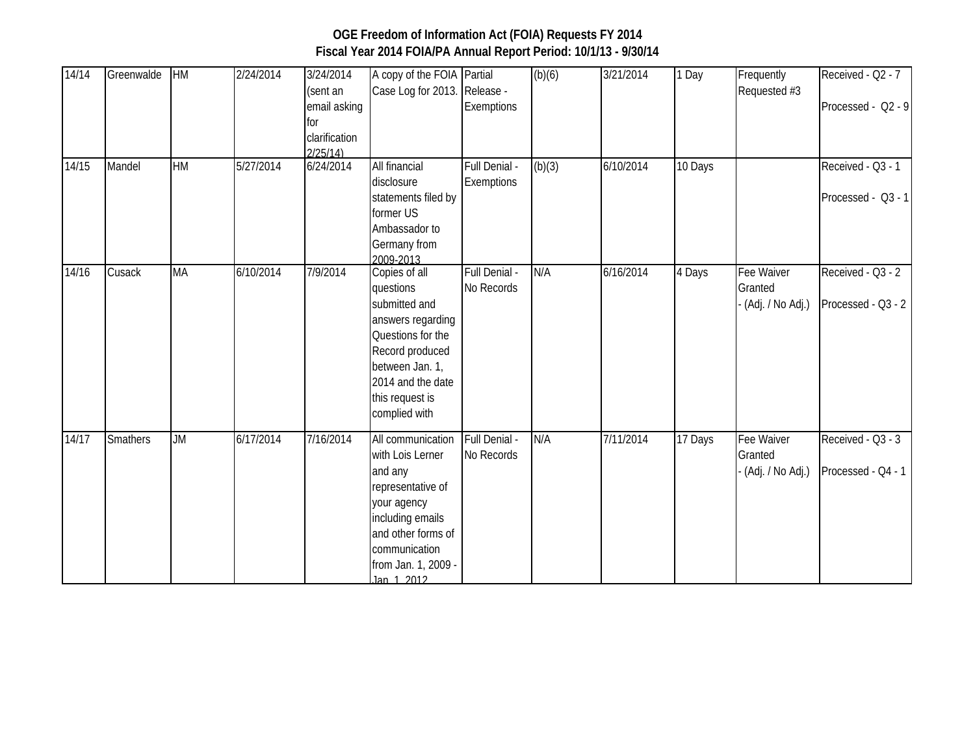| 14/14 | Greenwalde | HM        | 2/24/2014 | 3/24/2014<br>(sent an<br>email asking<br>for<br>clarification<br>2/25/14 | A copy of the FOIA Partial<br>Case Log for 2013. Release -                                                                                                                           | Exemptions                  | (b)(6) | 3/21/2014 | 1 Day   | Frequently<br>Requested #3                | Received - Q2 - 7<br>Processed - Q2 - 9 |
|-------|------------|-----------|-----------|--------------------------------------------------------------------------|--------------------------------------------------------------------------------------------------------------------------------------------------------------------------------------|-----------------------------|--------|-----------|---------|-------------------------------------------|-----------------------------------------|
| 14/15 | Mandel     | <b>HM</b> | 5/27/2014 | 6/24/2014                                                                | All financial<br>disclosure<br>statements filed by<br>former US<br>Ambassador to<br>Germany from<br>2009-2013                                                                        | Full Denial -<br>Exemptions | (b)(3) | 6/10/2014 | 10 Days |                                           | Received - Q3 - 1<br>Processed - Q3 - 1 |
| 14/16 | Cusack     | MA        | 6/10/2014 | 7/9/2014                                                                 | Copies of all<br>questions<br>submitted and<br>answers regarding<br>Questions for the<br>Record produced<br>between Jan. 1,<br>2014 and the date<br>this request is<br>complied with | Full Denial -<br>No Records | N/A    | 6/16/2014 | 4 Days  | Fee Waiver<br>Granted<br>(Adj. / No Adj.) | Received - Q3 - 2<br>Processed - Q3 - 2 |
| 14/17 | Smathers   | <b>JM</b> | 6/17/2014 | 7/16/2014                                                                | All communication<br>with Lois Lerner<br>and any<br>representative of<br>your agency<br>including emails<br>and other forms of<br>communication<br>from Jan. 1, 2009 -<br>lan 1 2012 | Full Denial -<br>No Records | N/A    | 7/11/2014 | 17 Days | Fee Waiver<br>Granted<br>(Adj. / No Adj.) | Received - Q3 - 3<br>Processed - Q4 - 1 |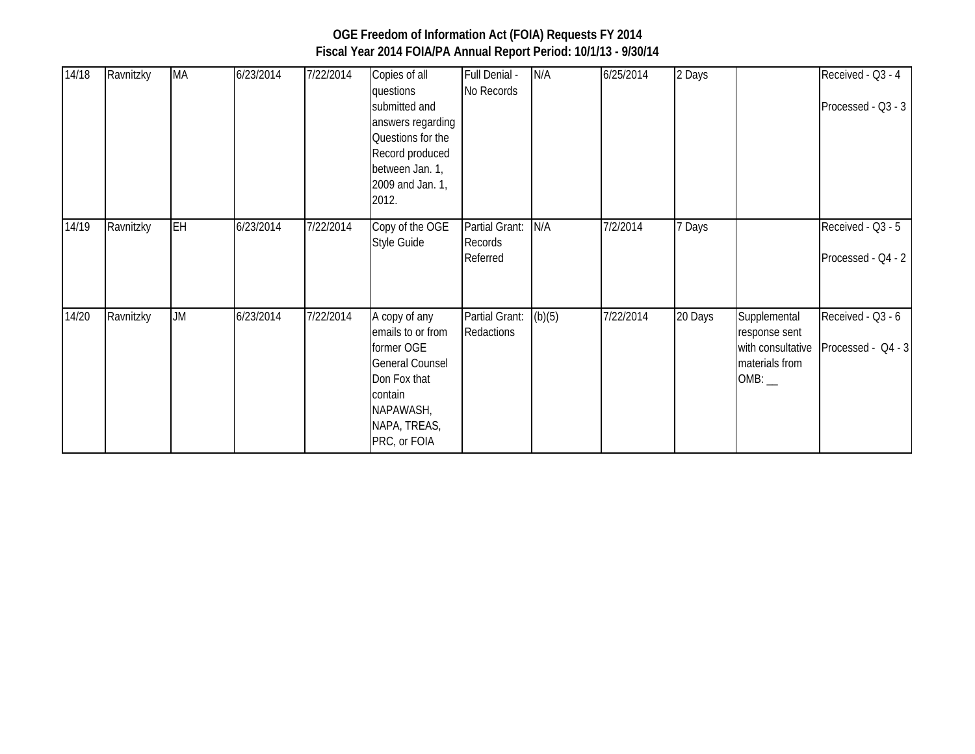| 14/18 | Ravnitzky | MA        | 6/23/2014 | 7/22/2014 | Copies of all<br>questions<br>submitted and<br>answers regarding<br>Questions for the<br>Record produced<br>between Jan. 1,<br>2009 and Jan. 1,<br>2012. | Full Denial -<br>No Records           | N/A    | 6/25/2014 | 2 Days  |                                                                      | Received - Q3 - 4<br>Processed - Q3 - 3 |
|-------|-----------|-----------|-----------|-----------|----------------------------------------------------------------------------------------------------------------------------------------------------------|---------------------------------------|--------|-----------|---------|----------------------------------------------------------------------|-----------------------------------------|
| 14/19 | Ravnitzky | EH        | 6/23/2014 | 7/22/2014 | Copy of the OGE<br>Style Guide                                                                                                                           | Partial Grant:<br>Records<br>Referred | N/A    | 7/2/2014  | 7 Days  |                                                                      | Received - Q3 - 5<br>Processed - Q4 - 2 |
| 14/20 | Ravnitzky | <b>JM</b> | 6/23/2014 | 7/22/2014 | A copy of any<br>emails to or from<br>former OGE<br><b>General Counsel</b><br>Don Fox that<br>contain<br>NAPAWASH,<br>NAPA, TREAS,<br>PRC, or FOIA       | Partial Grant:<br>Redactions          | (b)(5) | 7/22/2014 | 20 Days | Supplemental<br>response sent<br>with consultative<br>materials from | Received - Q3 - 6<br>Processed - Q4 - 3 |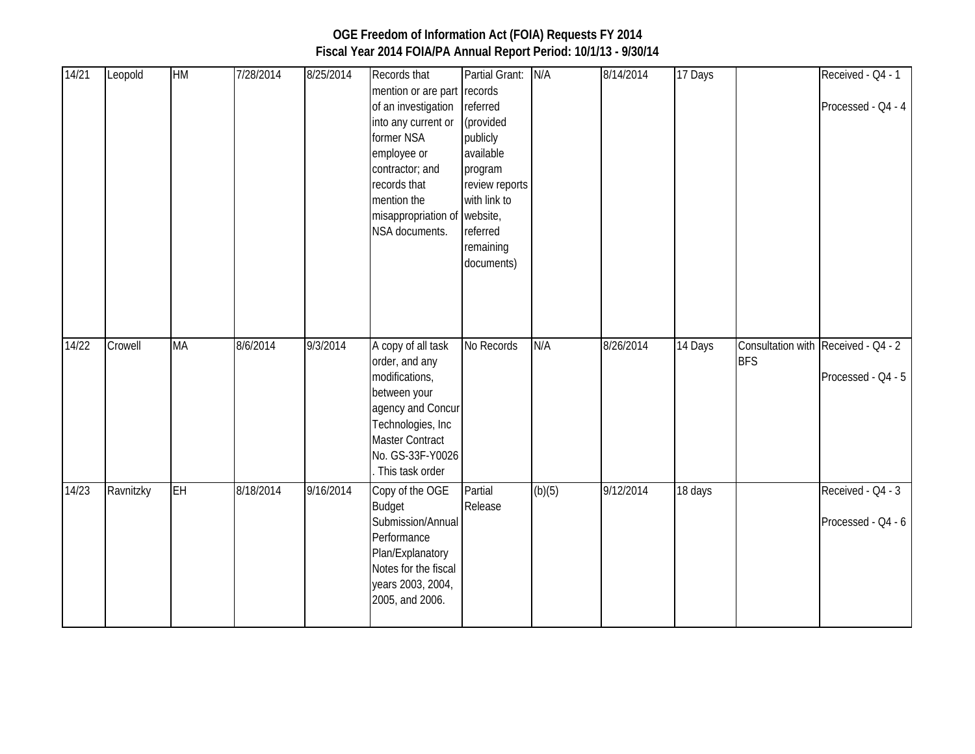| 14/21   | Leopold   | HM        | 7/28/2014 | 8/25/2014 | Records that<br>mention or are part records<br>of an investigation referred<br>into any current or<br>former NSA<br>employee or<br>contractor; and<br>records that<br>mention the<br>misappropriation of website,<br>NSA documents. | Partial Grant:<br>(provided<br>publicly<br>available<br>program<br>review reports<br>with link to<br>referred<br>remaining<br>documents) | N/A    | 8/14/2014 | 17 Days |            | Received - Q4 - 1<br>Processed - Q4 - 4                   |
|---------|-----------|-----------|-----------|-----------|-------------------------------------------------------------------------------------------------------------------------------------------------------------------------------------------------------------------------------------|------------------------------------------------------------------------------------------------------------------------------------------|--------|-----------|---------|------------|-----------------------------------------------------------|
| $14/22$ | Crowell   | <b>MA</b> | 8/6/2014  | 9/3/2014  | A copy of all task<br>order, and any<br>modifications,<br>between your<br>agency and Concur<br>Technologies, Inc<br><b>Master Contract</b><br>No. GS-33F-Y0026<br>. This task order                                                 | No Records                                                                                                                               | N/A    | 8/26/2014 | 14 Days | <b>BFS</b> | Consultation with Received - Q4 - 2<br>Processed - Q4 - 5 |
| 14/23   | Ravnitzky | EH        | 8/18/2014 | 9/16/2014 | Copy of the OGE<br><b>Budget</b><br>Submission/Annual<br>Performance<br>Plan/Explanatory<br>Notes for the fiscal<br>years 2003, 2004,<br>2005, and 2006.                                                                            | Partial<br>Release                                                                                                                       | (b)(5) | 9/12/2014 | 18 days |            | Received - Q4 - 3<br>Processed - Q4 - 6                   |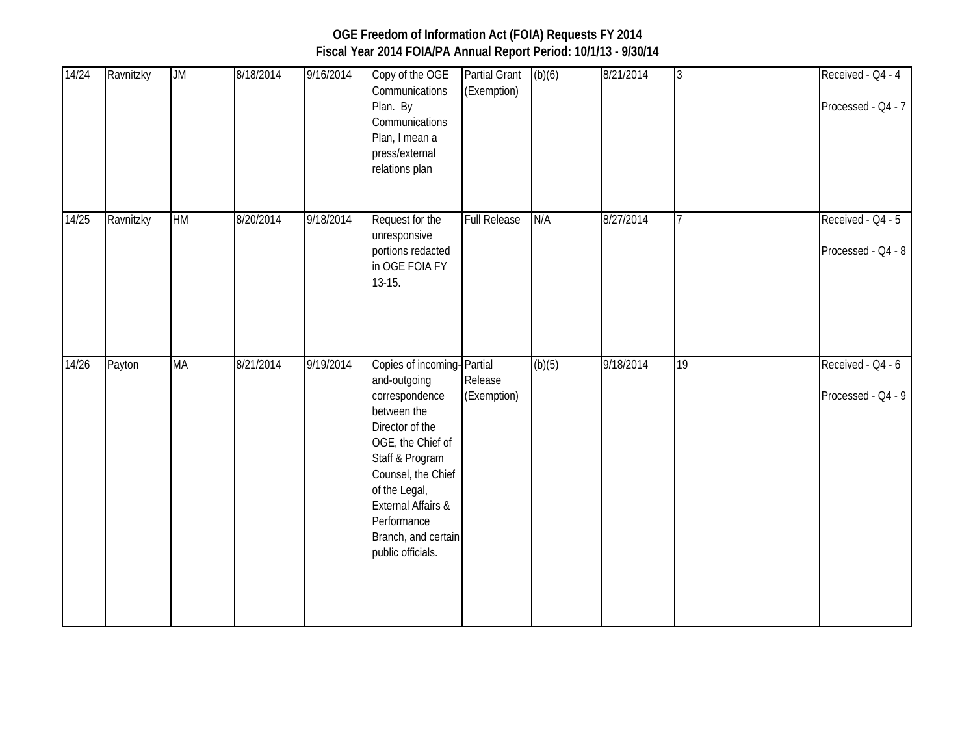| 14/24 | Ravnitzky | <b>ML</b> | 8/18/2014 | 9/16/2014 | Copy of the OGE<br>Communications<br>Plan. By<br>Communications<br>Plan, I mean a<br>press/external<br>relations plan                                                                                                                                                     | <b>Partial Grant</b><br>(Exemption) | (b)(6) | 8/21/2014 | $\overline{3}$ | Received - Q4 - 4<br>Processed - Q4 - 7 |
|-------|-----------|-----------|-----------|-----------|---------------------------------------------------------------------------------------------------------------------------------------------------------------------------------------------------------------------------------------------------------------------------|-------------------------------------|--------|-----------|----------------|-----------------------------------------|
| 14/25 | Ravnitzky | HM        | 8/20/2014 | 9/18/2014 | Request for the<br>unresponsive<br>portions redacted<br>in OGE FOIA FY<br>$13-15.$                                                                                                                                                                                        | <b>Full Release</b>                 | N/A    | 8/27/2014 | $\overline{7}$ | Received - Q4 - 5<br>Processed - Q4 - 8 |
| 14/26 | Payton    | <b>MA</b> | 8/21/2014 | 9/19/2014 | Copies of incoming-Partial<br>and-outgoing<br>correspondence<br>between the<br>Director of the<br>OGE, the Chief of<br>Staff & Program<br>Counsel, the Chief<br>of the Legal,<br><b>External Affairs &amp;</b><br>Performance<br>Branch, and certain<br>public officials. | Release<br>(Exemption)              | (b)(5) | 9/18/2014 | 19             | Received - Q4 - 6<br>Processed - Q4 - 9 |